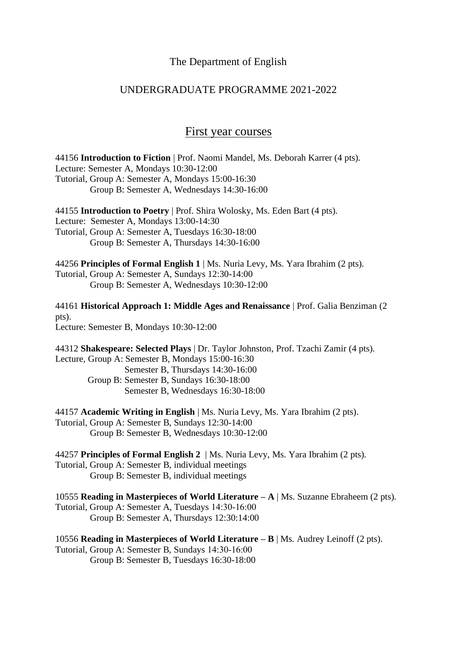#### The Department of English

### UNDERGRADUATE PROGRAMME 2021-2022

## First year courses

44156 **Introduction to Fiction** | Prof. Naomi Mandel, Ms. Deborah Karrer (4 pts). Lecture: Semester A, Mondays 10:30-12:00 Tutorial, Group A: Semester A, Mondays 15:00-16:30 Group B: Semester A, Wednesdays 14:30-16:00

44155 **Introduction to Poetry** | Prof. Shira Wolosky, Ms. Eden Bart (4 pts). Lecture: Semester A, Mondays 13:00-14:30 Tutorial, Group A: Semester A, Tuesdays 16:30-18:00

Group B: Semester A, Thursdays 14:30-16:00

44256 **Principles of Formal English 1** | Ms. Nuria Levy, Ms. Yara Ibrahim (2 pts).

Tutorial, Group A: Semester A, Sundays 12:30-14:00 Group B: Semester A, Wednesdays 10:30-12:00

44161 **Historical Approach 1: Middle Ages and Renaissance** | Prof. Galia Benziman (2 pts).

Lecture: Semester B, Mondays 10:30-12:00

44312 **Shakespeare: Selected Plays** | Dr. Taylor Johnston, Prof. Tzachi Zamir (4 pts). Lecture, Group A: Semester B, Mondays 15:00-16:30 Semester B, Thursdays 14:30-16:00 Group B: Semester B, Sundays 16:30-18:00 Semester B, Wednesdays 16:30-18:00

44157 **Academic Writing in English** | Ms. Nuria Levy, Ms. Yara Ibrahim (2 pts). Tutorial, Group A: Semester B, Sundays 12:30-14:00 Group B: Semester B, Wednesdays 10:30-12:00

44257 **Principles of Formal English 2** | Ms. Nuria Levy, Ms. Yara Ibrahim (2 pts). Tutorial, Group A: Semester B, individual meetings Group B: Semester B, individual meetings

10555 **Reading in Masterpieces of World Literature – A** | Ms. Suzanne Ebraheem (2 pts). Tutorial, Group A: Semester A, Tuesdays 14:30-16:00 Group B: Semester A, Thursdays 12:30:14:00

10556 **Reading in Masterpieces of World Literature – B** | Ms. Audrey Leinoff (2 pts). Tutorial, Group A: Semester B, Sundays 14:30-16:00 Group B: Semester B, Tuesdays 16:30-18:00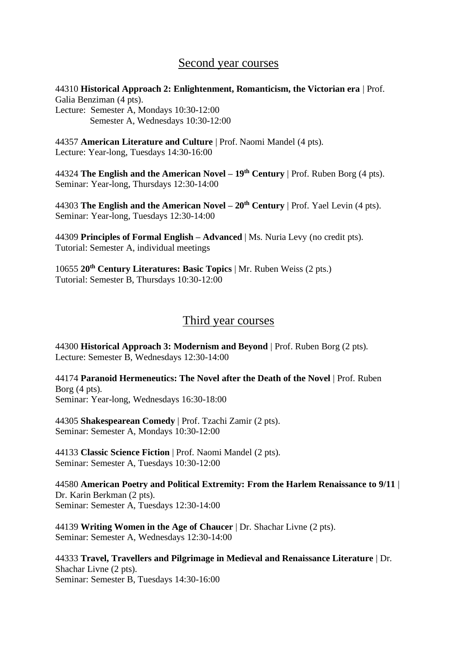# Second year courses

44310 **Historical Approach 2: Enlightenment, Romanticism, the Victorian era** | Prof. Galia Benziman (4 pts). Lecture: Semester A, Mondays 10:30-12:00

Semester A, Wednesdays 10:30-12:00

44357 **American Literature and Culture** | Prof. Naomi Mandel (4 pts). Lecture: Year-long, Tuesdays 14:30-16:00

44324 **The English and the American Novel – 19th Century** | Prof. Ruben Borg (4 pts). Seminar: Year-long, Thursdays 12:30-14:00

44303 **The English and the American Novel – 20th Century** | Prof. Yael Levin (4 pts). Seminar: Year-long, Tuesdays 12:30-14:00

44309 **Principles of Formal English – Advanced** | Ms. Nuria Levy (no credit pts). Tutorial: Semester A, individual meetings

10655 **20th Century Literatures: Basic Topics** | Mr. Ruben Weiss (2 pts.) Tutorial: Semester B, Thursdays 10:30-12:00

## Third year courses

44300 **Historical Approach 3: Modernism and Beyond** | Prof. Ruben Borg (2 pts). Lecture: Semester B, Wednesdays 12:30-14:00

44174 **Paranoid Hermeneutics: The Novel after the Death of the Novel** | Prof. Ruben Borg (4 pts). Seminar: Year-long, Wednesdays 16:30-18:00

44305 **Shakespearean Comedy** | Prof. Tzachi Zamir (2 pts). Seminar: Semester A, Mondays 10:30-12:00

44133 **Classic Science Fiction** | Prof. Naomi Mandel (2 pts). Seminar: Semester A, Tuesdays 10:30-12:00

44580 **American Poetry and Political Extremity: From the Harlem Renaissance to 9/11** | Dr. Karin Berkman (2 pts). Seminar: Semester A, Tuesdays 12:30-14:00

44139 **Writing Women in the Age of Chaucer** | Dr. Shachar Livne (2 pts). Seminar: Semester A, Wednesdays 12:30-14:00

44333 **Travel, Travellers and Pilgrimage in Medieval and Renaissance Literature** | Dr. Shachar Livne (2 pts). Seminar: Semester B, Tuesdays 14:30-16:00